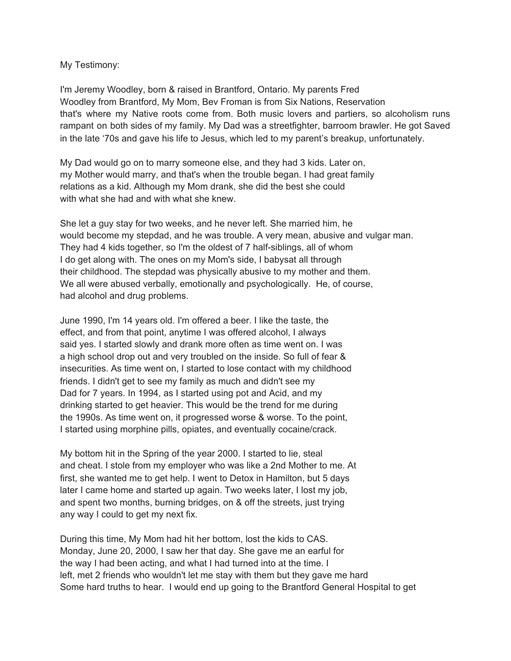My Testimony:

I'm Jeremy Woodley, born & raised in Brantford, Ontario. My parents Fred Woodley from Brantford, My Mom, Bev Froman is from Six Nations, Reservation that's where my Native roots come from. Both music lovers and partiers, so alcoholism runs rampant on both sides of my family. My Dad was a streetfighter, barroom brawler. He got Saved in the late '70s and gave his life to Jesus, which led to my parent's breakup, unfortunately.

My Dad would go on to marry someone else, and they had 3 kids. Later on, my Mother would marry, and that's when the trouble began. I had great family relations as a kid. Although my Mom drank, she did the best she could with what she had and with what she knew.

She let a guy stay for two weeks, and he never left. She married him, he would become my stepdad, and he was trouble. A very mean, abusive and vulgar man. They had 4 kids together, so I'm the oldest of 7 half-siblings, all of whom I do get along with. The ones on my Mom's side, I babysat all through their childhood. The stepdad was physically abusive to my mother and them. We all were abused verbally, emotionally and psychologically. He, of course, had alcohol and drug problems.

June 1990, I'm 14 years old. I'm offered a beer. I like the taste, the effect, and from that point, anytime I was offered alcohol, I always said yes. I started slowly and drank more often as time went on. I was a high school drop out and very troubled on the inside. So full of fear & insecurities. As time went on, I started to lose contact with my childhood friends. I didn't get to see my family as much and didn't see my Dad for 7 years. In 1994, as I started using pot and Acid, and my drinking started to get heavier. This would be the trend for me during the 1990s. As time went on, it progressed worse & worse. To the point, I started using morphine pills, opiates, and eventually cocaine/crack.

My bottom hit in the Spring of the year 2000. I started to lie, steal and cheat. I stole from my employer who was like a 2nd Mother to me. At first, she wanted me to get help. I went to Detox in Hamilton, but 5 days later I came home and started up again. Two weeks later, I lost my job, and spent two months, burning bridges, on & off the streets, just trying any way I could to get my next fix.

During this time, My Mom had hit her bottom, lost the kids to CAS. Monday, June 20, 2000, I saw her that day. She gave me an earful for the way I had been acting, and what I had turned into at the time. I left, met 2 friends who wouldn't let me stay with them but they gave me hard Some hard truths to hear. I would end up going to the Brantford General Hospital to get